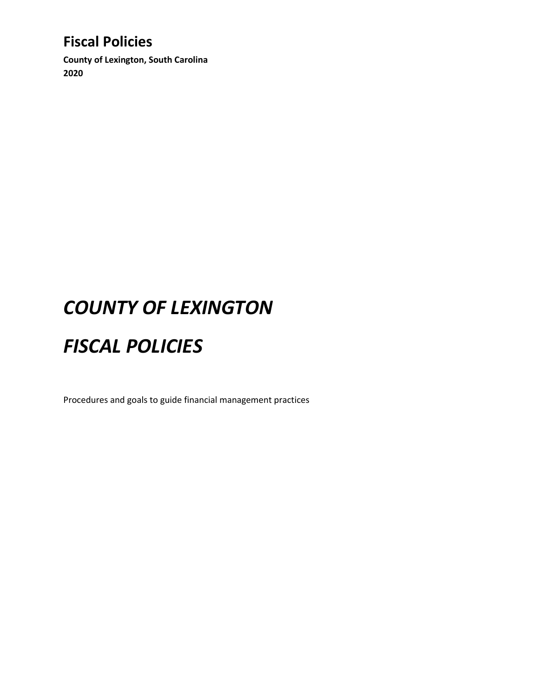**County of Lexington, South Carolina 2020**

# *COUNTY OF LEXINGTON*

# *FISCAL POLICIES*

Procedures and goals to guide financial management practices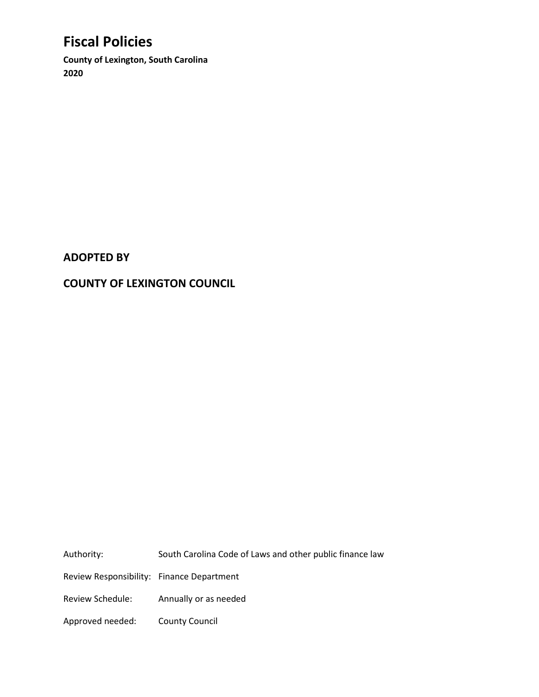**County of Lexington, South Carolina 2020**

#### **ADOPTED BY**

#### **COUNTY OF LEXINGTON COUNCIL**

Authority: South Carolina Code of Laws and other public finance law Review Responsibility: Finance Department Review Schedule: Annually or as needed Approved needed: County Council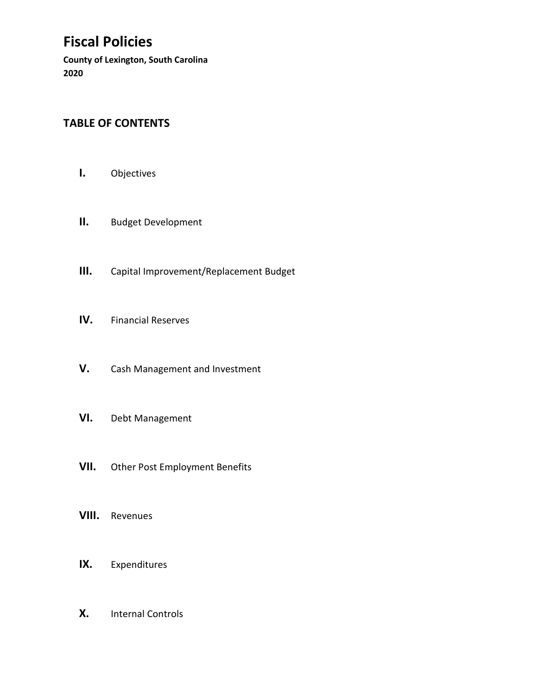**County of Lexington, South Carolina 2020**

### **TABLE OF CONTENTS**

- **I.** Objectives
- **II.** Budget Development
- **III.** Capital Improvement/Replacement Budget
- **IV.** Financial Reserves
- **V.** Cash Management and Investment
- **VI.** Debt Management
- **VII.** Other Post Employment Benefits
- **VIII.** Revenues
- **IX.** Expenditures
- **X.** Internal Controls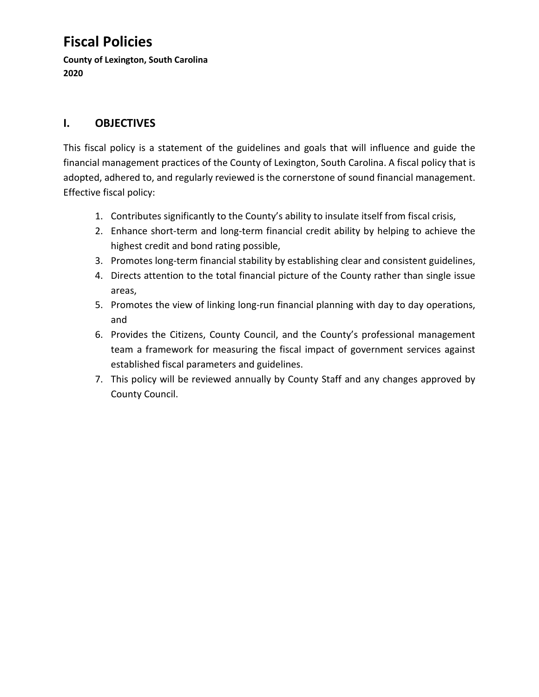**County of Lexington, South Carolina 2020**

### **I. OBJECTIVES**

This fiscal policy is a statement of the guidelines and goals that will influence and guide the financial management practices of the County of Lexington, South Carolina. A fiscal policy that is adopted, adhered to, and regularly reviewed is the cornerstone of sound financial management. Effective fiscal policy:

- 1. Contributes significantly to the County's ability to insulate itself from fiscal crisis,
- 2. Enhance short-term and long-term financial credit ability by helping to achieve the highest credit and bond rating possible,
- 3. Promotes long-term financial stability by establishing clear and consistent guidelines,
- 4. Directs attention to the total financial picture of the County rather than single issue areas,
- 5. Promotes the view of linking long-run financial planning with day to day operations, and
- 6. Provides the Citizens, County Council, and the County's professional management team a framework for measuring the fiscal impact of government services against established fiscal parameters and guidelines.
- 7. This policy will be reviewed annually by County Staff and any changes approved by County Council.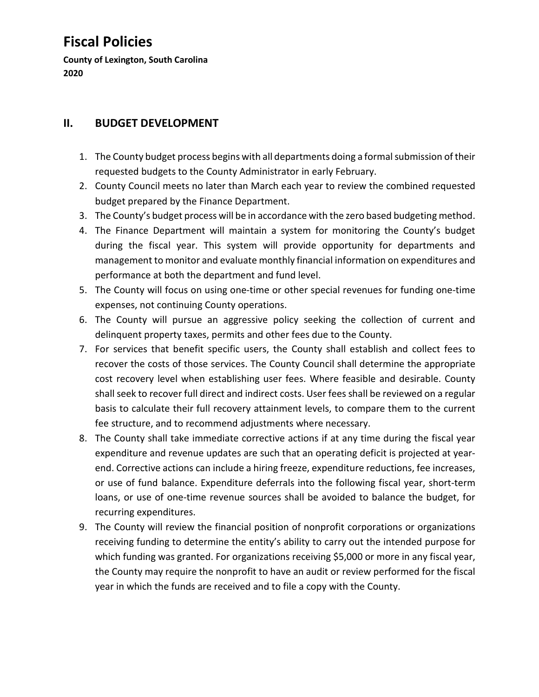**County of Lexington, South Carolina 2020**

#### **II. BUDGET DEVELOPMENT**

- 1. The County budget process begins with all departments doing a formal submission of their requested budgets to the County Administrator in early February.
- 2. County Council meets no later than March each year to review the combined requested budget prepared by the Finance Department.
- 3. The County's budget process will be in accordance with the zero based budgeting method.
- 4. The Finance Department will maintain a system for monitoring the County's budget during the fiscal year. This system will provide opportunity for departments and management to monitor and evaluate monthly financial information on expenditures and performance at both the department and fund level.
- 5. The County will focus on using one-time or other special revenues for funding one-time expenses, not continuing County operations.
- 6. The County will pursue an aggressive policy seeking the collection of current and delinquent property taxes, permits and other fees due to the County.
- 7. For services that benefit specific users, the County shall establish and collect fees to recover the costs of those services. The County Council shall determine the appropriate cost recovery level when establishing user fees. Where feasible and desirable. County shall seek to recover full direct and indirect costs. User fees shall be reviewed on a regular basis to calculate their full recovery attainment levels, to compare them to the current fee structure, and to recommend adjustments where necessary.
- 8. The County shall take immediate corrective actions if at any time during the fiscal year expenditure and revenue updates are such that an operating deficit is projected at yearend. Corrective actions can include a hiring freeze, expenditure reductions, fee increases, or use of fund balance. Expenditure deferrals into the following fiscal year, short-term loans, or use of one-time revenue sources shall be avoided to balance the budget, for recurring expenditures.
- 9. The County will review the financial position of nonprofit corporations or organizations receiving funding to determine the entity's ability to carry out the intended purpose for which funding was granted. For organizations receiving \$5,000 or more in any fiscal year, the County may require the nonprofit to have an audit or review performed for the fiscal year in which the funds are received and to file a copy with the County.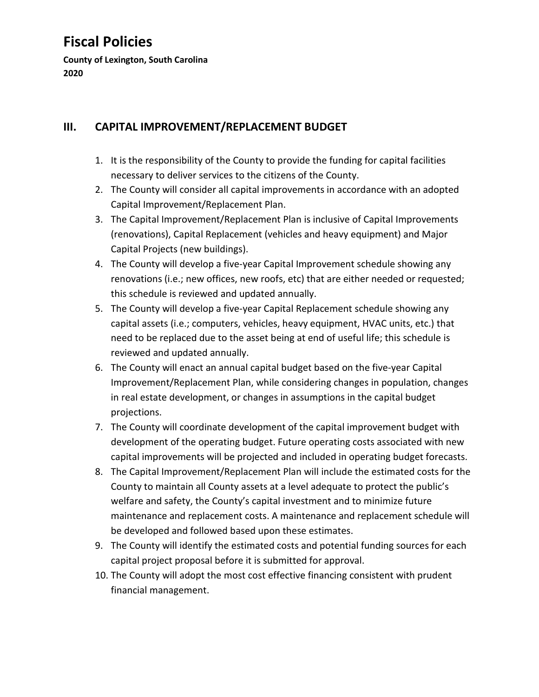**County of Lexington, South Carolina 2020**

### **III. CAPITAL IMPROVEMENT/REPLACEMENT BUDGET**

- 1. It is the responsibility of the County to provide the funding for capital facilities necessary to deliver services to the citizens of the County.
- 2. The County will consider all capital improvements in accordance with an adopted Capital Improvement/Replacement Plan.
- 3. The Capital Improvement/Replacement Plan is inclusive of Capital Improvements (renovations), Capital Replacement (vehicles and heavy equipment) and Major Capital Projects (new buildings).
- 4. The County will develop a five-year Capital Improvement schedule showing any renovations (i.e.; new offices, new roofs, etc) that are either needed or requested; this schedule is reviewed and updated annually.
- 5. The County will develop a five-year Capital Replacement schedule showing any capital assets (i.e.; computers, vehicles, heavy equipment, HVAC units, etc.) that need to be replaced due to the asset being at end of useful life; this schedule is reviewed and updated annually.
- 6. The County will enact an annual capital budget based on the five-year Capital Improvement/Replacement Plan, while considering changes in population, changes in real estate development, or changes in assumptions in the capital budget projections.
- 7. The County will coordinate development of the capital improvement budget with development of the operating budget. Future operating costs associated with new capital improvements will be projected and included in operating budget forecasts.
- 8. The Capital Improvement/Replacement Plan will include the estimated costs for the County to maintain all County assets at a level adequate to protect the public's welfare and safety, the County's capital investment and to minimize future maintenance and replacement costs. A maintenance and replacement schedule will be developed and followed based upon these estimates.
- 9. The County will identify the estimated costs and potential funding sources for each capital project proposal before it is submitted for approval.
- 10. The County will adopt the most cost effective financing consistent with prudent financial management.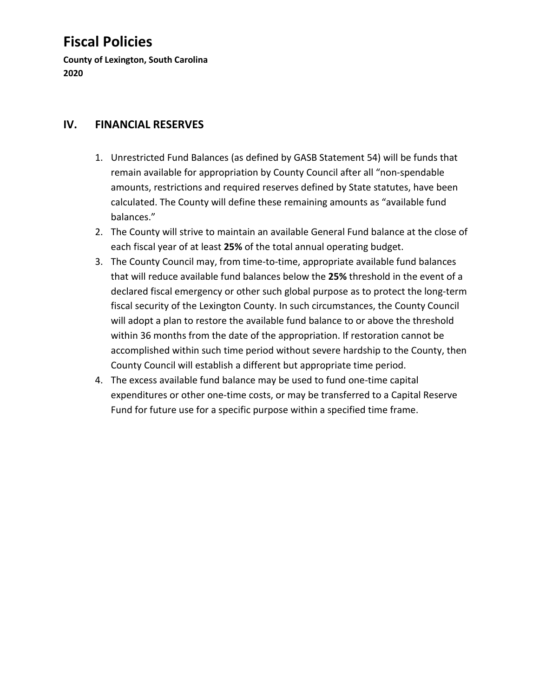**County of Lexington, South Carolina 2020**

#### **IV. FINANCIAL RESERVES**

- 1. Unrestricted Fund Balances (as defined by GASB Statement 54) will be funds that remain available for appropriation by County Council after all "non-spendable amounts, restrictions and required reserves defined by State statutes, have been calculated. The County will define these remaining amounts as "available fund balances."
- 2. The County will strive to maintain an available General Fund balance at the close of each fiscal year of at least **25%** of the total annual operating budget.
- 3. The County Council may, from time-to-time, appropriate available fund balances that will reduce available fund balances below the **25%** threshold in the event of a declared fiscal emergency or other such global purpose as to protect the long-term fiscal security of the Lexington County. In such circumstances, the County Council will adopt a plan to restore the available fund balance to or above the threshold within 36 months from the date of the appropriation. If restoration cannot be accomplished within such time period without severe hardship to the County, then County Council will establish a different but appropriate time period.
- 4. The excess available fund balance may be used to fund one-time capital expenditures or other one-time costs, or may be transferred to a Capital Reserve Fund for future use for a specific purpose within a specified time frame.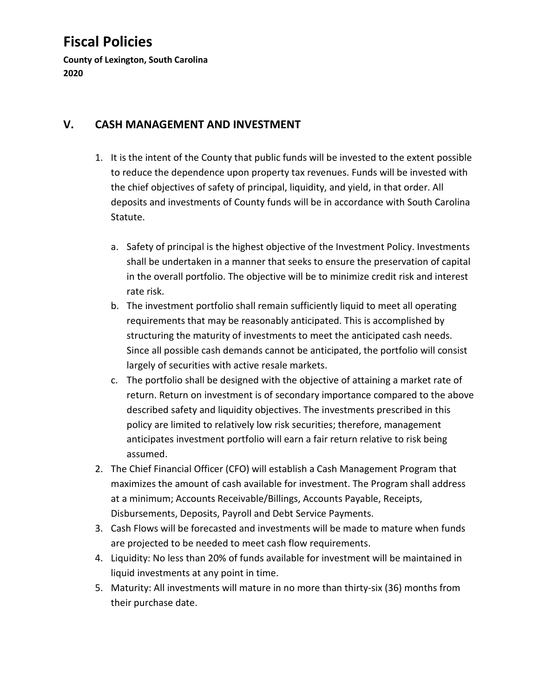**County of Lexington, South Carolina 2020**

#### **V. CASH MANAGEMENT AND INVESTMENT**

- 1. It is the intent of the County that public funds will be invested to the extent possible to reduce the dependence upon property tax revenues. Funds will be invested with the chief objectives of safety of principal, liquidity, and yield, in that order. All deposits and investments of County funds will be in accordance with South Carolina Statute.
	- a. Safety of principal is the highest objective of the Investment Policy. Investments shall be undertaken in a manner that seeks to ensure the preservation of capital in the overall portfolio. The objective will be to minimize credit risk and interest rate risk.
	- b. The investment portfolio shall remain sufficiently liquid to meet all operating requirements that may be reasonably anticipated. This is accomplished by structuring the maturity of investments to meet the anticipated cash needs. Since all possible cash demands cannot be anticipated, the portfolio will consist largely of securities with active resale markets.
	- c. The portfolio shall be designed with the objective of attaining a market rate of return. Return on investment is of secondary importance compared to the above described safety and liquidity objectives. The investments prescribed in this policy are limited to relatively low risk securities; therefore, management anticipates investment portfolio will earn a fair return relative to risk being assumed.
- 2. The Chief Financial Officer (CFO) will establish a Cash Management Program that maximizes the amount of cash available for investment. The Program shall address at a minimum; Accounts Receivable/Billings, Accounts Payable, Receipts, Disbursements, Deposits, Payroll and Debt Service Payments.
- 3. Cash Flows will be forecasted and investments will be made to mature when funds are projected to be needed to meet cash flow requirements.
- 4. Liquidity: No less than 20% of funds available for investment will be maintained in liquid investments at any point in time.
- 5. Maturity: All investments will mature in no more than thirty-six (36) months from their purchase date.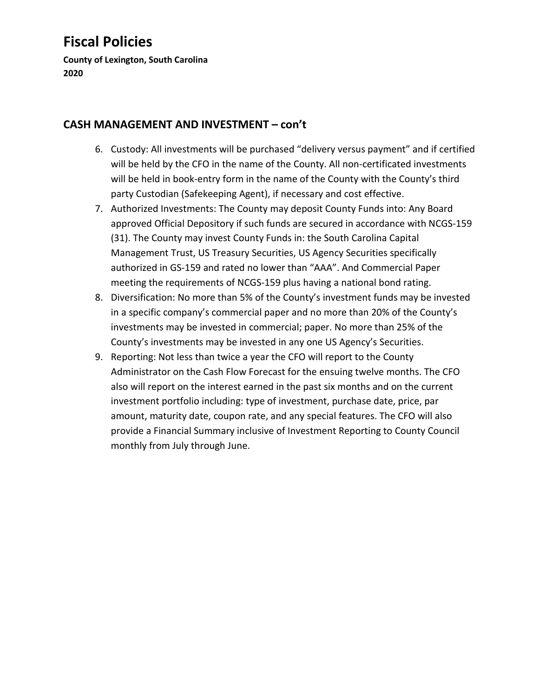**County of Lexington, South Carolina 2020**

#### **CASH MANAGEMENT AND INVESTMENT – con't**

- 6. Custody: All investments will be purchased "delivery versus payment" and if certified will be held by the CFO in the name of the County. All non-certificated investments will be held in book-entry form in the name of the County with the County's third party Custodian (Safekeeping Agent), if necessary and cost effective.
- 7. Authorized Investments: The County may deposit County Funds into: Any Board approved Official Depository if such funds are secured in accordance with NCGS-159 (31). The County may invest County Funds in: the South Carolina Capital Management Trust, US Treasury Securities, US Agency Securities specifically authorized in GS-159 and rated no lower than "AAA". And Commercial Paper meeting the requirements of NCGS-159 plus having a national bond rating.
- 8. Diversification: No more than 5% of the County's investment funds may be invested in a specific company's commercial paper and no more than 20% of the County's investments may be invested in commercial; paper. No more than 25% of the County's investments may be invested in any one US Agency's Securities.
- 9. Reporting: Not less than twice a year the CFO will report to the County Administrator on the Cash Flow Forecast for the ensuing twelve months. The CFO also will report on the interest earned in the past six months and on the current investment portfolio including: type of investment, purchase date, price, par amount, maturity date, coupon rate, and any special features. The CFO will also provide a Financial Summary inclusive of Investment Reporting to County Council monthly from July through June.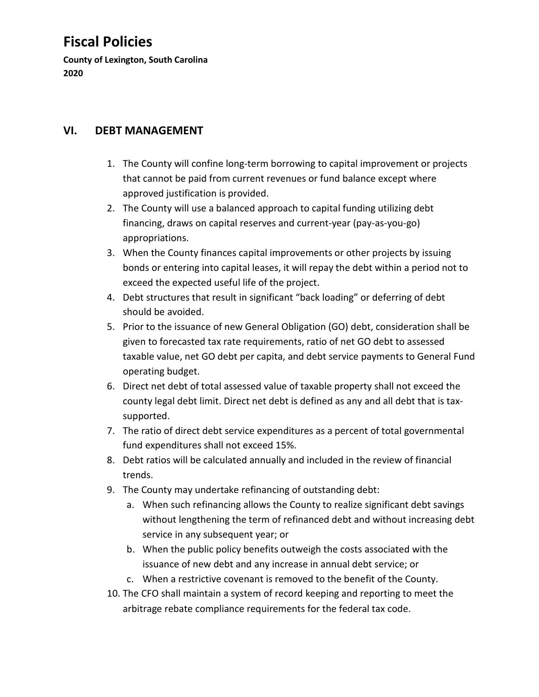**County of Lexington, South Carolina 2020**

#### **VI. DEBT MANAGEMENT**

- 1. The County will confine long-term borrowing to capital improvement or projects that cannot be paid from current revenues or fund balance except where approved justification is provided.
- 2. The County will use a balanced approach to capital funding utilizing debt financing, draws on capital reserves and current-year (pay-as-you-go) appropriations.
- 3. When the County finances capital improvements or other projects by issuing bonds or entering into capital leases, it will repay the debt within a period not to exceed the expected useful life of the project.
- 4. Debt structures that result in significant "back loading" or deferring of debt should be avoided.
- 5. Prior to the issuance of new General Obligation (GO) debt, consideration shall be given to forecasted tax rate requirements, ratio of net GO debt to assessed taxable value, net GO debt per capita, and debt service payments to General Fund operating budget.
- 6. Direct net debt of total assessed value of taxable property shall not exceed the county legal debt limit. Direct net debt is defined as any and all debt that is taxsupported.
- 7. The ratio of direct debt service expenditures as a percent of total governmental fund expenditures shall not exceed 15%.
- 8. Debt ratios will be calculated annually and included in the review of financial trends.
- 9. The County may undertake refinancing of outstanding debt:
	- a. When such refinancing allows the County to realize significant debt savings without lengthening the term of refinanced debt and without increasing debt service in any subsequent year; or
	- b. When the public policy benefits outweigh the costs associated with the issuance of new debt and any increase in annual debt service; or
	- c. When a restrictive covenant is removed to the benefit of the County.
- 10. The CFO shall maintain a system of record keeping and reporting to meet the arbitrage rebate compliance requirements for the federal tax code.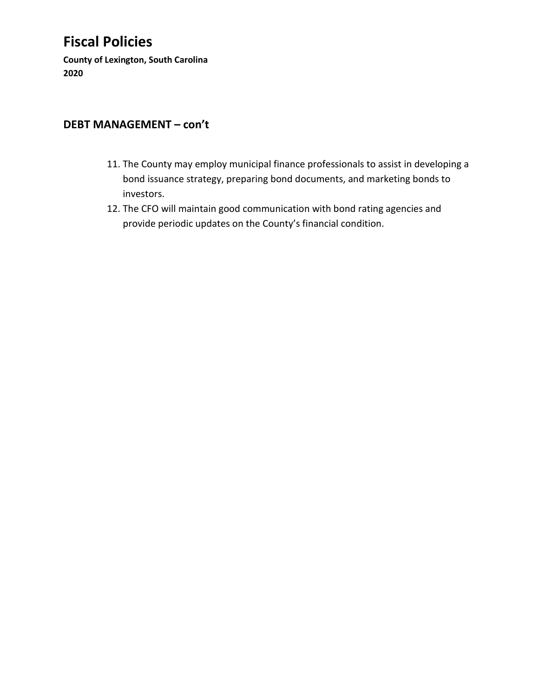**County of Lexington, South Carolina 2020**

#### **DEBT MANAGEMENT – con't**

- 11. The County may employ municipal finance professionals to assist in developing a bond issuance strategy, preparing bond documents, and marketing bonds to investors.
- 12. The CFO will maintain good communication with bond rating agencies and provide periodic updates on the County's financial condition.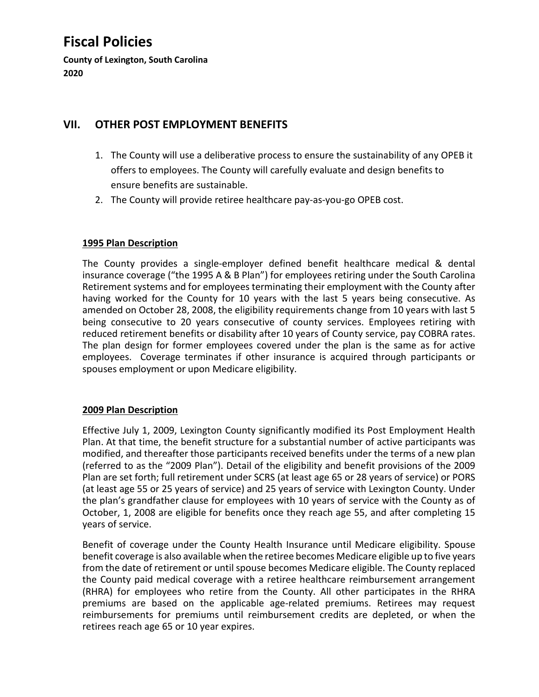**County of Lexington, South Carolina 2020**

#### **VII. OTHER POST EMPLOYMENT BENEFITS**

- 1. The County will use a deliberative process to ensure the sustainability of any OPEB it offers to employees. The County will carefully evaluate and design benefits to ensure benefits are sustainable.
- 2. The County will provide retiree healthcare pay-as-you-go OPEB cost.

#### **1995 Plan Description**

The County provides a single-employer defined benefit healthcare medical & dental insurance coverage ("the 1995 A & B Plan") for employees retiring under the South Carolina Retirement systems and for employees terminating their employment with the County after having worked for the County for 10 years with the last 5 years being consecutive. As amended on October 28, 2008, the eligibility requirements change from 10 years with last 5 being consecutive to 20 years consecutive of county services. Employees retiring with reduced retirement benefits or disability after 10 years of County service, pay COBRA rates. The plan design for former employees covered under the plan is the same as for active employees. Coverage terminates if other insurance is acquired through participants or spouses employment or upon Medicare eligibility.

#### **2009 Plan Description**

Effective July 1, 2009, Lexington County significantly modified its Post Employment Health Plan. At that time, the benefit structure for a substantial number of active participants was modified, and thereafter those participants received benefits under the terms of a new plan (referred to as the "2009 Plan"). Detail of the eligibility and benefit provisions of the 2009 Plan are set forth; full retirement under SCRS (at least age 65 or 28 years of service) or PORS (at least age 55 or 25 years of service) and 25 years of service with Lexington County. Under the plan's grandfather clause for employees with 10 years of service with the County as of October, 1, 2008 are eligible for benefits once they reach age 55, and after completing 15 years of service.

Benefit of coverage under the County Health Insurance until Medicare eligibility. Spouse benefit coverage is also available when the retiree becomes Medicare eligible up to five years from the date of retirement or until spouse becomes Medicare eligible. The County replaced the County paid medical coverage with a retiree healthcare reimbursement arrangement (RHRA) for employees who retire from the County. All other participates in the RHRA premiums are based on the applicable age-related premiums. Retirees may request reimbursements for premiums until reimbursement credits are depleted, or when the retirees reach age 65 or 10 year expires.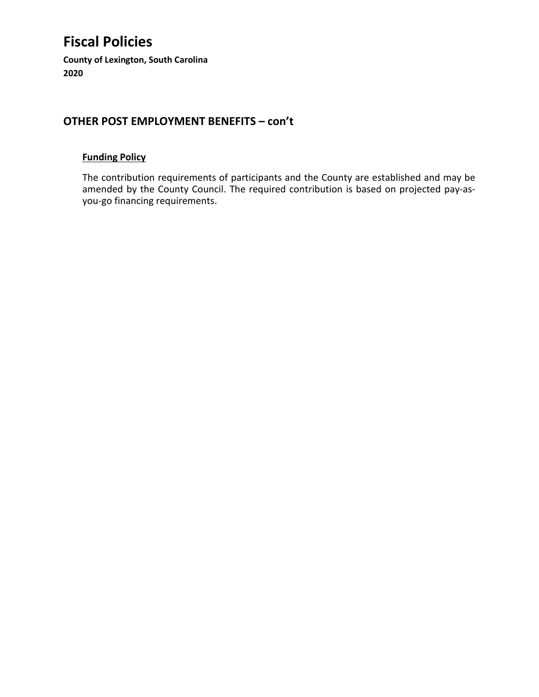**County of Lexington, South Carolina 2020**

#### **OTHER POST EMPLOYMENT BENEFITS – con't**

#### **Funding Policy**

The contribution requirements of participants and the County are established and may be amended by the County Council. The required contribution is based on projected pay-asyou-go financing requirements.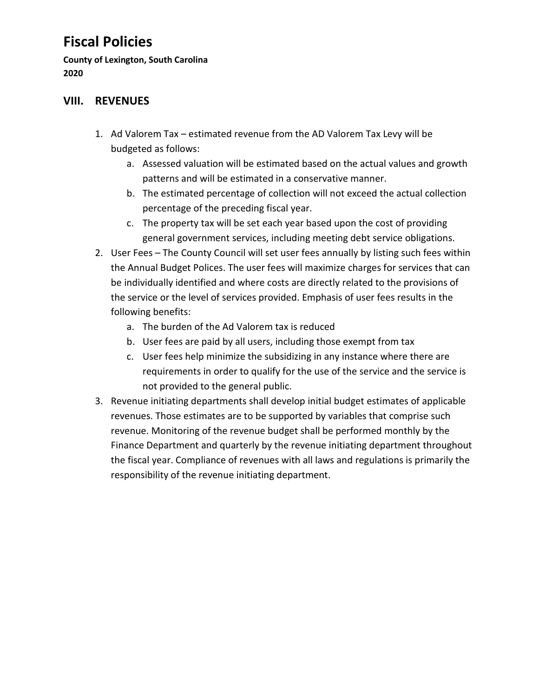**County of Lexington, South Carolina 2020**

#### **VIII. REVENUES**

- 1. Ad Valorem Tax estimated revenue from the AD Valorem Tax Levy will be budgeted as follows:
	- a. Assessed valuation will be estimated based on the actual values and growth patterns and will be estimated in a conservative manner.
	- b. The estimated percentage of collection will not exceed the actual collection percentage of the preceding fiscal year.
	- c. The property tax will be set each year based upon the cost of providing general government services, including meeting debt service obligations.
- 2. User Fees The County Council will set user fees annually by listing such fees within the Annual Budget Polices. The user fees will maximize charges for services that can be individually identified and where costs are directly related to the provisions of the service or the level of services provided. Emphasis of user fees results in the following benefits:
	- a. The burden of the Ad Valorem tax is reduced
	- b. User fees are paid by all users, including those exempt from tax
	- c. User fees help minimize the subsidizing in any instance where there are requirements in order to qualify for the use of the service and the service is not provided to the general public.
- 3. Revenue initiating departments shall develop initial budget estimates of applicable revenues. Those estimates are to be supported by variables that comprise such revenue. Monitoring of the revenue budget shall be performed monthly by the Finance Department and quarterly by the revenue initiating department throughout the fiscal year. Compliance of revenues with all laws and regulations is primarily the responsibility of the revenue initiating department.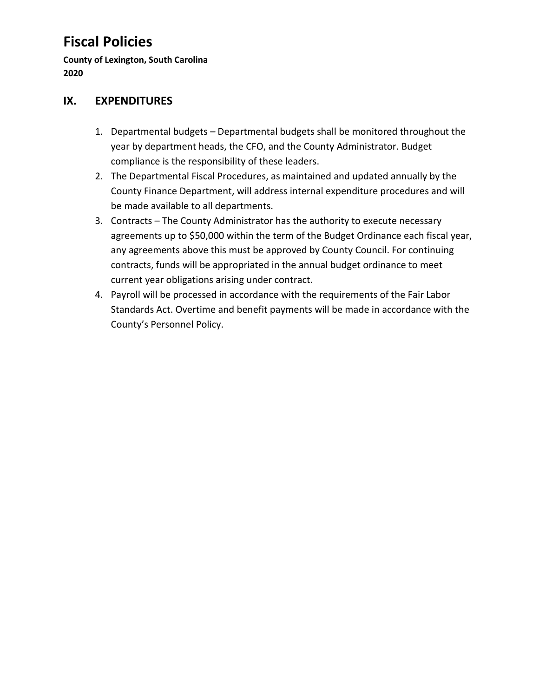**County of Lexington, South Carolina 2020**

#### **IX. EXPENDITURES**

- 1. Departmental budgets Departmental budgets shall be monitored throughout the year by department heads, the CFO, and the County Administrator. Budget compliance is the responsibility of these leaders.
- 2. The Departmental Fiscal Procedures, as maintained and updated annually by the County Finance Department, will address internal expenditure procedures and will be made available to all departments.
- 3. Contracts The County Administrator has the authority to execute necessary agreements up to \$50,000 within the term of the Budget Ordinance each fiscal year, any agreements above this must be approved by County Council. For continuing contracts, funds will be appropriated in the annual budget ordinance to meet current year obligations arising under contract.
- 4. Payroll will be processed in accordance with the requirements of the Fair Labor Standards Act. Overtime and benefit payments will be made in accordance with the County's Personnel Policy.